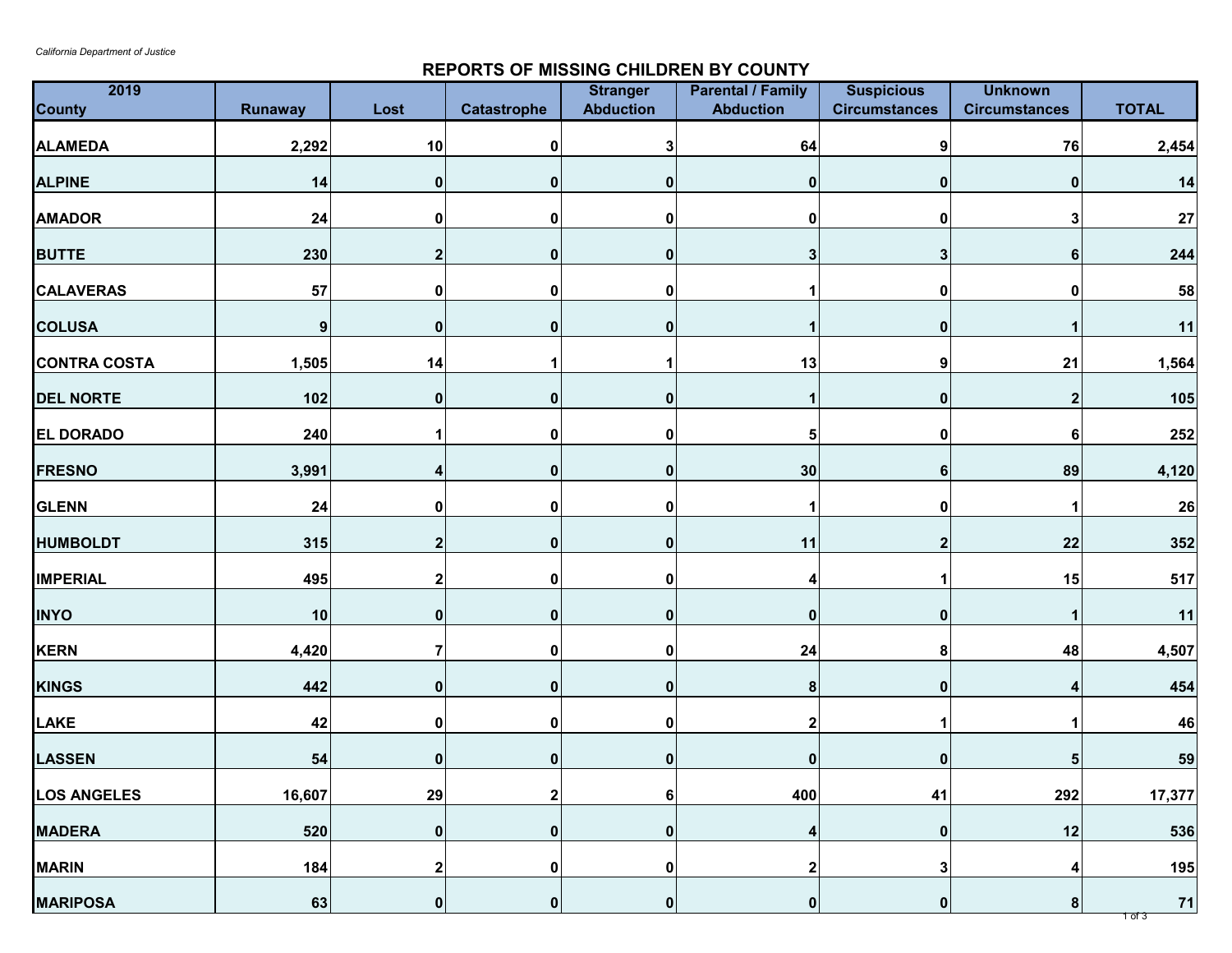## **REPORTS OF MISSING CHILDREN BY COUNTY**

| 2019<br><b>County</b> | <b>Runaway</b> | Lost             | Catastrophe    | <b>Stranger</b><br><b>Abduction</b> | <b>Parental / Family</b><br><b>Abduction</b> | <b>Suspicious</b><br><b>Circumstances</b> | <b>Unknown</b><br><b>Circumstances</b> | <b>TOTAL</b>     |
|-----------------------|----------------|------------------|----------------|-------------------------------------|----------------------------------------------|-------------------------------------------|----------------------------------------|------------------|
| <b>ALAMEDA</b>        | 2,292          | 10               | 0              |                                     | 64                                           | 9                                         | 76                                     | 2,454            |
| <b>ALPINE</b>         | 14             | 0                | $\mathbf 0$    |                                     | $\mathbf 0$                                  | 0                                         | 0                                      | 14               |
| <b>AMADOR</b>         | 24             | $\mathbf 0$      | 0              |                                     | 0                                            | 0                                         | 3                                      | 27               |
| <b>BUTTE</b>          | 230            | 2                | 0              | n                                   | 3 <sup>1</sup>                               | 3                                         | 6                                      | 244              |
| <b>CALAVERAS</b>      | 57             |                  | 0              |                                     |                                              | 0                                         |                                        | 58               |
| <b>COLUSA</b>         | 9              | $\mathbf{0}$     | $\mathbf 0$    |                                     |                                              | 0                                         |                                        | $11$             |
| <b>CONTRA COSTA</b>   | 1,505          | 14               |                |                                     | 13                                           | 9                                         | 21                                     | 1,564            |
| <b>DEL NORTE</b>      | 102            | $\mathbf{0}$     | 0              | ⋂                                   |                                              | $\mathbf 0$                               | $\mathbf 2$                            | 105              |
| <b>EL DORADO</b>      | 240            |                  | 0              |                                     | 5 <sup>1</sup>                               | $\bf{0}$                                  | 6                                      | 252              |
| <b>FRESNO</b>         | 3,991          | Δ                | 0              | ŋ                                   | 30                                           | 6                                         | 89                                     | 4,120            |
| <b>GLENN</b>          | 24             | Ω                | 0              |                                     |                                              | 0                                         |                                        | 26               |
| <b>HUMBOLDT</b>       | 315            |                  | 0              |                                     | 11                                           | 2                                         | 22                                     | 352              |
| <b>IMPERIAL</b>       | 495            |                  | 0              |                                     |                                              |                                           | 15                                     | 517              |
| <b>INYO</b>           | 10             | $\mathbf{0}$     | 0              |                                     | 0                                            | 0                                         |                                        | 11               |
| <b>KERN</b>           | 4,420          |                  | 0              | 0                                   | 24                                           | 8                                         | 48                                     | 4,507            |
| <b>KINGS</b>          | 442            | $\boldsymbol{0}$ | 0              | $\bf{0}$                            | 8 <sup>1</sup>                               | $\mathbf 0$                               |                                        | 454              |
| <b>LAKE</b>           | 42             | 0                | 0              |                                     | $\boldsymbol{2}$                             |                                           |                                        | 46               |
| <b>LASSEN</b>         | 54             | 0                | 0              | 0                                   | $\boldsymbol{0}$                             | $\boldsymbol{0}$                          | 5                                      | 59               |
| <b>LOS ANGELES</b>    | 16,607         | 29               | 2 <sub>l</sub> | 6                                   | 400                                          | 41                                        | 292                                    | 17,377           |
| <b>MADERA</b>         | 520            | 0                | 0              | 0                                   | 4                                            | $\boldsymbol{0}$                          | 12                                     | 536              |
| <b>MARIN</b>          | 184            | 2                | 0              | ŋ                                   | $\overline{2}$                               | 3                                         |                                        | 195              |
| <b>MARIPOSA</b>       | 63             | 0                | 0              | 0                                   | 0                                            | $\mathbf 0$                               | 8                                      | 71<br>$1$ of $3$ |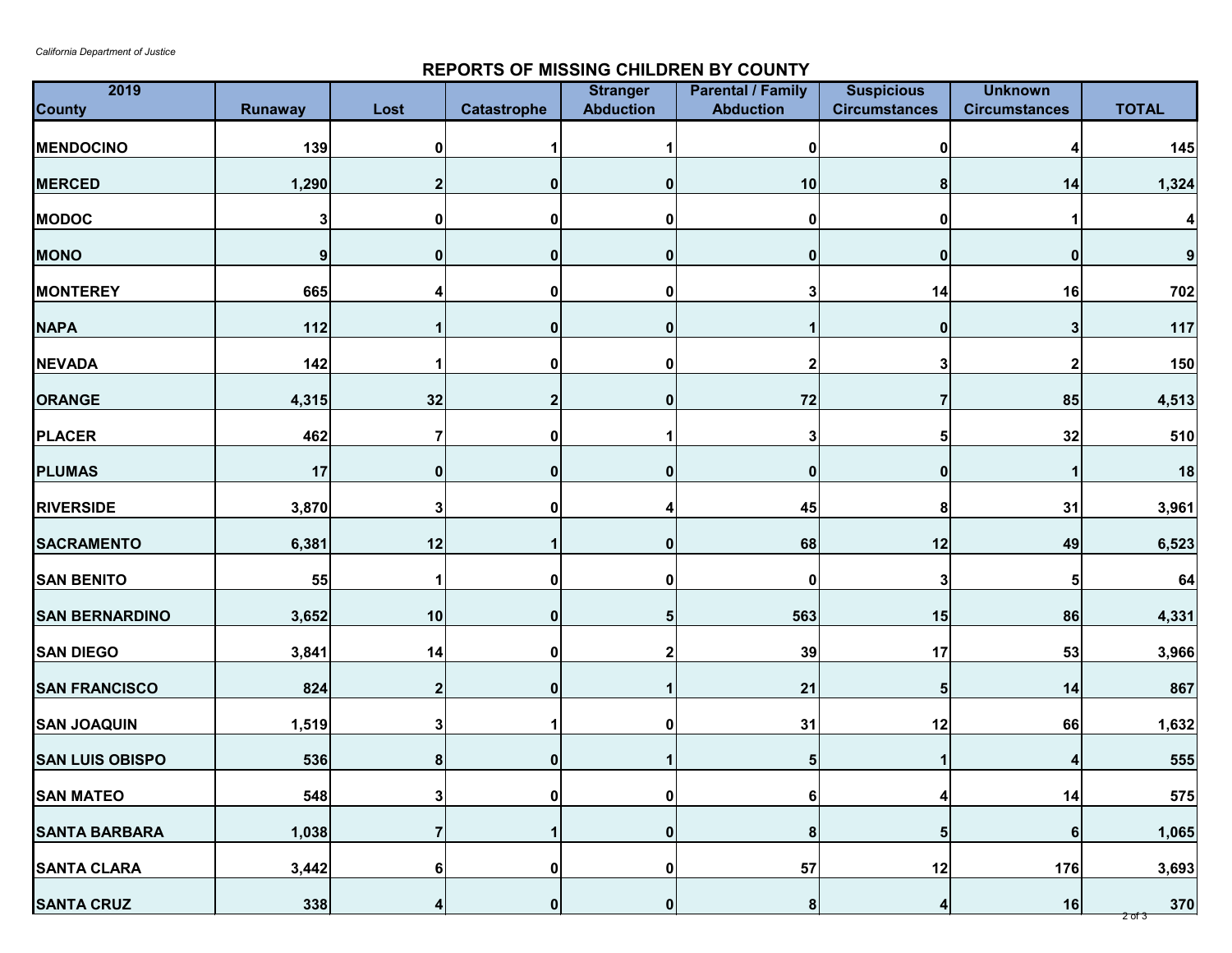## **REPORTS OF MISSING CHILDREN BY COUNTY**

| 2019<br><b>County</b>  | <b>Runaway</b> | Lost             | <b>Catastrophe</b> | <b>Stranger</b><br><b>Abduction</b> | <b>Parental / Family</b><br><b>Abduction</b> | <b>Suspicious</b><br><b>Circumstances</b> | <b>Unknown</b><br><b>Circumstances</b> | <b>TOTAL</b>            |
|------------------------|----------------|------------------|--------------------|-------------------------------------|----------------------------------------------|-------------------------------------------|----------------------------------------|-------------------------|
| <b>MENDOCINO</b>       | 139            | $\boldsymbol{0}$ |                    |                                     | 0                                            | $\mathbf{0}$                              |                                        | 145                     |
| <b>MERCED</b>          | 1,290          |                  | 0                  | 0                                   | 10                                           | 8 <sup>1</sup>                            | 14                                     | 1,324                   |
| <b>MODOC</b>           | 3              | $\mathbf 0$      | 0                  | 0                                   | 0                                            | $\mathbf{0}$                              |                                        | $\overline{\mathbf{4}}$ |
| <b>MONO</b>            | 9              | $\boldsymbol{0}$ | 0                  | $\bf{0}$                            | $\boldsymbol{0}$                             | 0                                         | 0                                      | 9                       |
| <b>MONTEREY</b>        | 665            |                  | 0                  | O                                   | 3                                            | 14                                        | 16                                     | 702                     |
| <b>NAPA</b>            | 112            |                  | 0                  | 0                                   |                                              | 0                                         | 3                                      | 117                     |
| <b>NEVADA</b>          | 142            |                  | 0                  | 0                                   |                                              | 3                                         |                                        | 150                     |
| <b>ORANGE</b>          | 4,315          | 32               | $\mathbf{2}$       | 0                                   | 72                                           | 7                                         | 85                                     | 4,513                   |
| <b>PLACER</b>          | 462            | 7                | 0                  |                                     | 3                                            | 5                                         | 32                                     | 510                     |
| <b>PLUMAS</b>          | 17             | $\mathbf{0}$     | $\mathbf{0}$       | 0                                   | $\boldsymbol{0}$                             | 0                                         |                                        | 18                      |
| <b>RIVERSIDE</b>       | 3,870          | 3                | 0                  |                                     | 45                                           | 8                                         | 31                                     | 3,961                   |
| <b>SACRAMENTO</b>      | 6,381          | 12               |                    | $\bf{0}$                            | 68                                           | 12                                        | 49                                     | 6,523                   |
| <b>SAN BENITO</b>      | 55             |                  | 0                  | 0                                   | 0                                            | 3                                         | 5                                      | 64                      |
| <b>SAN BERNARDINO</b>  | 3,652          | 10               | 0                  |                                     | 563                                          | 15                                        | 86                                     | 4,331                   |
| <b>SAN DIEGO</b>       | 3,841          | 14               | 0                  | $\mathbf{2}$                        | 39                                           | 17                                        | 53                                     | 3,966                   |
| <b>SAN FRANCISCO</b>   | 824            | $\mathbf 2$      | 0                  |                                     | 21                                           | 5 <sub>5</sub>                            | 14                                     | 867                     |
| <b>SAN JOAQUIN</b>     | 1,519          | 3                |                    | 0                                   | 31                                           | 12                                        | 66                                     | 1,632                   |
| <b>SAN LUIS OBISPO</b> | 536            | $\boldsymbol{8}$ | 0                  |                                     | 5 <sup>1</sup>                               |                                           | 4                                      | 555                     |
| <b>SAN MATEO</b>       | 548            | 3                | 0                  | 0                                   | 6                                            | 4                                         | 14                                     | 575                     |
| <b>SANTA BARBARA</b>   | 1,038          | 7                |                    | 0                                   | 8                                            | 5 <sub>l</sub>                            | 6 <sup>1</sup>                         | 1,065                   |
| <b>SANTA CLARA</b>     | 3,442          | 6                | 0                  | $\mathbf 0$                         | 57                                           | 12                                        | 176                                    | 3,693                   |
| <b>SANTA CRUZ</b>      | 338            | 4                | 0                  | 0                                   | 8 <sup>1</sup>                               | 4                                         | 16                                     | 370<br><u>2 of 3</u>    |